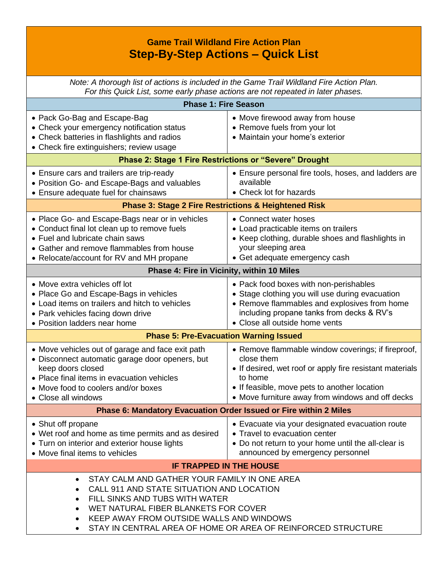## **Game Trail Wildland Fire Action Plan Step-By-Step Actions – Quick List**

*Note: A thorough list of actions is included in the Game Trail Wildland Fire Action Plan. For this Quick List, some early phase actions are not repeated in later phases.*

| <b>Phase 1: Fire Season</b>                                                                                                                                                                                                                                                                  |                                                                                                                                                                                                                                             |  |  |  |
|----------------------------------------------------------------------------------------------------------------------------------------------------------------------------------------------------------------------------------------------------------------------------------------------|---------------------------------------------------------------------------------------------------------------------------------------------------------------------------------------------------------------------------------------------|--|--|--|
| • Pack Go-Bag and Escape-Bag<br>• Check your emergency notification status<br>• Check batteries in flashlights and radios<br>• Check fire extinguishers; review usage                                                                                                                        | • Move firewood away from house<br>• Remove fuels from your lot<br>• Maintain your home's exterior                                                                                                                                          |  |  |  |
| Phase 2: Stage 1 Fire Restrictions or "Severe" Drought                                                                                                                                                                                                                                       |                                                                                                                                                                                                                                             |  |  |  |
| • Ensure cars and trailers are trip-ready<br>• Position Go- and Escape-Bags and valuables<br>• Ensure adequate fuel for chainsaws                                                                                                                                                            | • Ensure personal fire tools, hoses, and ladders are<br>available<br>• Check lot for hazards                                                                                                                                                |  |  |  |
| <b>Phase 3: Stage 2 Fire Restrictions &amp; Heightened Risk</b>                                                                                                                                                                                                                              |                                                                                                                                                                                                                                             |  |  |  |
| • Place Go- and Escape-Bags near or in vehicles<br>• Conduct final lot clean up to remove fuels<br>• Fuel and lubricate chain saws<br>• Gather and remove flammables from house<br>• Relocate/account for RV and MH propane                                                                  | • Connect water hoses<br>• Load practicable items on trailers<br>• Keep clothing, durable shoes and flashlights in<br>your sleeping area<br>• Get adequate emergency cash                                                                   |  |  |  |
| Phase 4: Fire in Vicinity, within 10 Miles                                                                                                                                                                                                                                                   |                                                                                                                                                                                                                                             |  |  |  |
| • Move extra vehicles off lot<br>• Place Go and Escape-Bags in vehicles<br>• Load items on trailers and hitch to vehicles<br>• Park vehicles facing down drive<br>• Position ladders near home                                                                                               | • Pack food boxes with non-perishables<br>• Stage clothing you will use during evacuation<br>• Remove flammables and explosives from home<br>including propane tanks from decks & RV's<br>• Close all outside home vents                    |  |  |  |
| <b>Phase 5: Pre-Evacuation Warning Issued</b>                                                                                                                                                                                                                                                |                                                                                                                                                                                                                                             |  |  |  |
| • Move vehicles out of garage and face exit path<br>• Disconnect automatic garage door openers, but<br>keep doors closed<br>• Place final items in evacuation vehicles<br>• Move food to coolers and/or boxes<br>• Close all windows                                                         | • Remove flammable window coverings; if fireproof,<br>close them<br>• If desired, wet roof or apply fire resistant materials<br>to home<br>• If feasible, move pets to another location<br>• Move furniture away from windows and off decks |  |  |  |
| Phase 6: Mandatory Evacuation Order Issued or Fire within 2 Miles                                                                                                                                                                                                                            |                                                                                                                                                                                                                                             |  |  |  |
| • Shut off propane<br>• Wet roof and home as time permits and as desired<br>• Turn on interior and exterior house lights<br>• Move final items to vehicles                                                                                                                                   | • Evacuate via your designated evacuation route<br>• Travel to evacuation center<br>• Do not return to your home until the all-clear is<br>announced by emergency personnel                                                                 |  |  |  |
| <b>IF TRAPPED IN THE HOUSE</b>                                                                                                                                                                                                                                                               |                                                                                                                                                                                                                                             |  |  |  |
| STAY CALM AND GATHER YOUR FAMILY IN ONE AREA<br>CALL 911 AND STATE SITUATION AND LOCATION<br>FILL SINKS AND TUBS WITH WATER<br>$\bullet$<br>WET NATURAL FIBER BLANKETS FOR COVER<br>KEEP AWAY FROM OUTSIDE WALLS AND WINDOWS<br>STAY IN CENTRAL AREA OF HOME OR AREA OF REINFORCED STRUCTURE |                                                                                                                                                                                                                                             |  |  |  |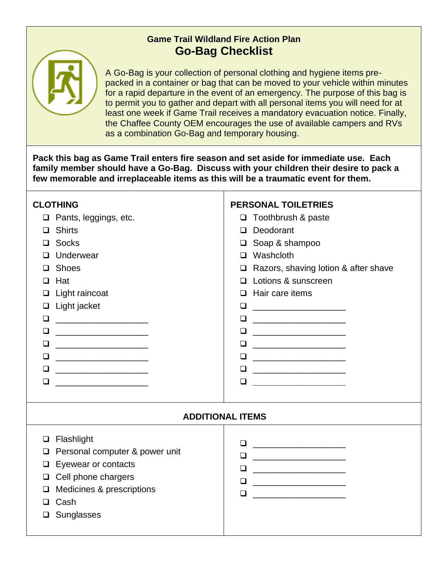## **Game Trail Wildland Fire Action Plan Go-Bag Checklist**



A Go-Bag is your collection of personal clothing and hygiene items prepacked in a container or bag that can be moved to your vehicle within minutes for a rapid departure in the event of an emergency. The purpose of this bag is to permit you to gather and depart with all personal items you will need for at least one week if Game Trail receives a mandatory evacuation notice. Finally, the Chaffee County OEM encourages the use of available campers and RVs as a combination Go-Bag and temporary housing.

**Pack this bag as Game Trail enters fire season and set aside for immediate use. Each family member should have a Go-Bag. Discuss with your children their desire to pack a few memorable and irreplaceable items as this will be a traumatic event for them.**

| <b>CLOTHING</b><br>Pants, leggings, etc.<br>$\Box$<br><b>Shirts</b><br>⊔<br><b>Socks</b><br>⊔<br>Underwear<br><b>Shoes</b><br>ப<br>Hat<br>⊔<br>Light raincoat<br>⊔<br>Light jacket<br>$\Box$<br>❏<br>❏<br>□<br>$\Box$<br>$\Box$<br>❏<br><u> 1989 - Johann Barbara, martxa al III-lea (h. 1974).</u> | <b>PERSONAL TOILETRIES</b><br>$\Box$ Toothbrush & paste<br>Deodorant<br>$\Box$<br>Soap & shampoo<br>❏<br>Washcloth<br>$\Box$<br>Razors, shaving lotion & after shave<br>$\Box$<br>Lotions & sunscreen<br>$\Box$<br>$\Box$ Hair care items<br>❏<br><u> 1980 - Andrea Andrew Maria (h. 1980).</u><br>$\Box$<br><u> 1990 - Johann Barbara, martin a</u><br>$\Box$<br>❏<br><u> 1980 - Johann Stoff, fransk kongresser og det</u><br>$\Box$<br>❏<br>$\Box$<br><u> 1989 - Johann Barbara, martin basalar pada 1980 - Johann Barbara (j. 1918)</u> |  |  |  |
|-----------------------------------------------------------------------------------------------------------------------------------------------------------------------------------------------------------------------------------------------------------------------------------------------------|---------------------------------------------------------------------------------------------------------------------------------------------------------------------------------------------------------------------------------------------------------------------------------------------------------------------------------------------------------------------------------------------------------------------------------------------------------------------------------------------------------------------------------------------|--|--|--|
| <b>ADDITIONAL ITEMS</b>                                                                                                                                                                                                                                                                             |                                                                                                                                                                                                                                                                                                                                                                                                                                                                                                                                             |  |  |  |
| Flashlight<br>□<br>Personal computer & power unit<br>⊔<br>Eyewear or contacts<br>❏<br>Cell phone chargers<br>$\Box$<br>Medicines & prescriptions<br>ப<br>Cash<br>Sunglasses<br>❏                                                                                                                    | $\begin{tabular}{ c c c c } \hline \quad \quad & \quad \quad & \quad \quad & \quad \quad \\ \hline \quad \quad & \quad \quad & \quad \quad & \quad \quad \\ \hline \end{tabular}$<br>❏<br><u> 1990 - Johann Barbara, martin a</u><br>$\Box$<br>❏<br><u> 1999 - Johann Harry Harry Harry Harry Harry Harry Harry Harry Harry Harry Harry Harry Harry Harry Harry Harry</u><br>$\Box$                                                                                                                                                         |  |  |  |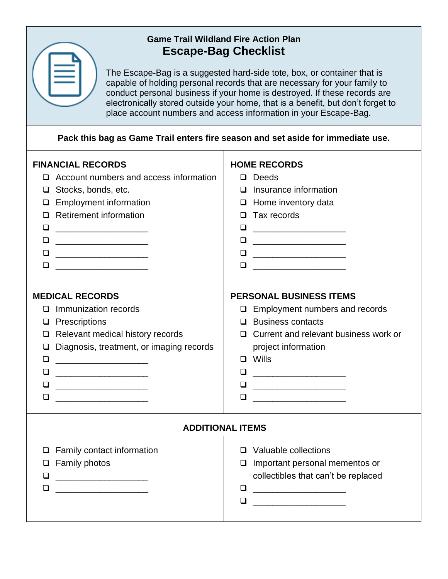## **Game Trail Wildland Fire Action Plan Escape-Bag Checklist**

The Escape-Bag is a suggested hard-side tote, box, or container that is capable of holding personal records that are necessary for your family to conduct personal business if your home is destroyed. If these records are electronically stored outside your home, that is a benefit, but don't forget to place account numbers and access information in your Escape-Bag.

**Pack this bag as Game Trail enters fire season and set aside for immediate use.**

| <b>FINANCIAL RECORDS</b><br>Account numbers and access information<br>Stocks, bonds, etc.<br>⊔<br><b>Employment information</b><br>⊔<br><b>Retirement information</b><br>⊔<br>❏<br>❏<br>⊔<br><u> Alexandro Alexandro Alexandro Alexandro Alexandro Alexandro Alexandro Alexandro Alexandro Alexandro Alexandro Alexandro Alexandro Alexandro Alexandro Alexandro Alexandro Alexandro Alexandro Alexandro Alexandro Alexandro </u><br><u> 1989 - Johann John Stone, mars eta biztanleria (</u> | <b>HOME RECORDS</b><br>$\Box$ Deeds<br>$\Box$ Insurance information<br>$\Box$ Home inventory data<br>$\Box$ Tax records<br>❏<br>$\Box$<br>$\begin{tabular}{ c c c c } \hline \quad \quad & \quad \quad & \quad \quad & \quad \quad \\ \hline \quad \quad & \quad \quad & \quad \quad & \quad \quad \\ \hline \end{tabular}$<br><u> 1999 - Johann Harry Harry Harry Harry Harry Harry Harry Harry Harry Harry Harry Harry Harry Harry Harry Harry</u>  |  |  |  |  |
|-----------------------------------------------------------------------------------------------------------------------------------------------------------------------------------------------------------------------------------------------------------------------------------------------------------------------------------------------------------------------------------------------------------------------------------------------------------------------------------------------|-------------------------------------------------------------------------------------------------------------------------------------------------------------------------------------------------------------------------------------------------------------------------------------------------------------------------------------------------------------------------------------------------------------------------------------------------------|--|--|--|--|
| <b>MEDICAL RECORDS</b><br>Immunization records<br>$\Box$<br>$\Box$ Prescriptions<br>$\Box$ Relevant medical history records<br>Diagnosis, treatment, or imaging records<br>❏<br>□<br>❏<br>□<br>⊔                                                                                                                                                                                                                                                                                              | <b>PERSONAL BUSINESS ITEMS</b><br>$\Box$ Employment numbers and records<br>$\Box$ Business contacts<br>$\Box$ Current and relevant business work or<br>project information<br>$\Box$ Wills<br><u> 1989 - Jan James James Barnett, fransk politik (</u><br>❏<br>$\begin{tabular}{ c c c c } \hline \quad \quad & \quad \quad & \quad \quad & \quad \quad \\ \hline \quad \quad & \quad \quad & \quad \quad & \quad \quad \\ \hline \end{tabular}$<br>□ |  |  |  |  |
| <b>ADDITIONAL ITEMS</b>                                                                                                                                                                                                                                                                                                                                                                                                                                                                       |                                                                                                                                                                                                                                                                                                                                                                                                                                                       |  |  |  |  |
| $\Box$ Family contact information<br><b>Family photos</b><br>$\Box$<br>◻                                                                                                                                                                                                                                                                                                                                                                                                                      | $\Box$ Valuable collections<br>Important personal mementos or<br>$\Box$<br>collectibles that can't be replaced<br>□<br><u> 1999 - Johann Barbara, martin a</u><br>❏                                                                                                                                                                                                                                                                                   |  |  |  |  |